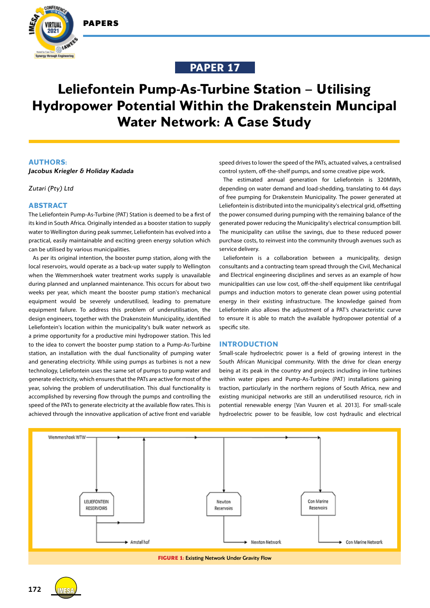



# **PAPER 17**

# **Leliefontein Pump-As-Turbine Station – Utilising Hydropower Potential Within the Drakenstein Muncipal Water Network: A Case Study**

# **AUTHORS:**

*Jacobus Kriegler & Holiday Kadada*

*Zutari (Pty) Ltd*

## **ABSTRACT**

The Leliefontein Pump-As-Turbine (PAT) Station is deemed to be a first of its kind in South Africa. Originally intended as a booster station to supply water to Wellington during peak summer, Leliefontein has evolved into a practical, easily maintainable and exciting green energy solution which can be utilised by various municipalities.

As per its original intention, the booster pump station, along with the local reservoirs, would operate as a back-up water supply to Wellington when the Wemmershoek water treatment works supply is unavailable during planned and unplanned maintenance. This occurs for about two weeks per year, which meant the booster pump station's mechanical equipment would be severely underutilised, leading to premature equipment failure. To address this problem of underutilisation, the design engineers, together with the Drakenstein Municipality, identified Leliefontein's location within the municipality's bulk water network as a prime opportunity for a productive mini hydropower station. This led to the idea to convert the booster pump station to a Pump-As-Turbine station, an installation with the dual functionality of pumping water and generating electricity. While using pumps as turbines is not a new technology, Leliefontein uses the same set of pumps to pump water and generate electricity, which ensures that the PATs are active for most of the year, solving the problem of underutilisation. This dual functionality is accomplished by reversing flow through the pumps and controlling the speed of the PATs to generate electricity at the available flow rates. This is achieved through the innovative application of active front end variable

speed drives to lower the speed of the PATs, actuated valves, a centralised control system, off-the-shelf pumps, and some creative pipe work.

The estimated annual generation for Leliefontein is 320MWh, depending on water demand and load-shedding, translating to 44 days of free pumping for Drakenstein Municipality. The power generated at Leliefontein is distributed into the municipality's electrical grid, offsetting the power consumed during pumping with the remaining balance of the generated power reducing the Municipality's electrical consumption bill. The municipality can utilise the savings, due to these reduced power purchase costs, to reinvest into the community through avenues such as service delivery.

Leliefontein is a collaboration between a municipality, design consultants and a contracting team spread through the Civil, Mechanical and Electrical engineering disciplines and serves as an example of how municipalities can use low cost, off-the-shelf equipment like centrifugal pumps and induction motors to generate clean power using potential energy in their existing infrastructure. The knowledge gained from Leliefontein also allows the adjustment of a PAT's characteristic curve to ensure it is able to match the available hydropower potential of a specific site.

#### **INTRODUCTION**

Small-scale hydroelectric power is a field of growing interest in the South African Municipal community. With the drive for clean energy being at its peak in the country and projects including in-line turbines within water pipes and Pump-As-Turbine (PAT) installations gaining traction, particularly in the northern regions of South Africa, new and existing municipal networks are still an underutilised resource, rich in potential renewable energy [Van Vuuren et al. 2013]. For small-scale hydroelectric power to be feasible, low cost hydraulic and electrical





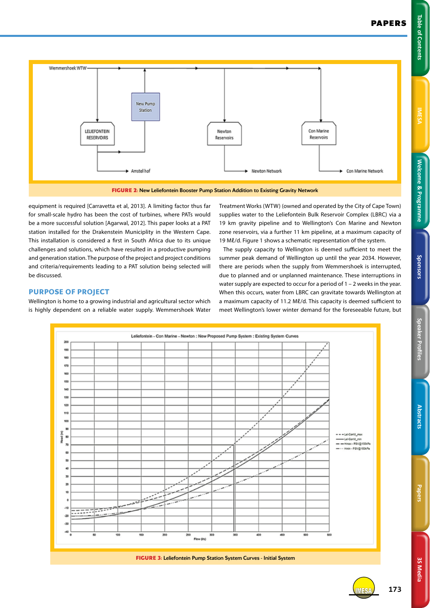

equipment is required [Carravetta et al, 2013]. A limiting factor thus far for small-scale hydro has been the cost of turbines, where PATs would be a more successful solution [Agarwal, 2012]. This paper looks at a PAT station installed for the Drakenstein Municiplity in the Western Cape. This installation is considered a first in South Africa due to its unique challenges and solutions, which have resulted in a productive pumping and generation station. The purpose of the project and project conditions and criteria/requirements leading to a PAT solution being selected will be discussed.

# Treatment Works (WTW) (owned and operated by the City of Cape Town) supplies water to the Leliefontein Bulk Reservoir Complex (LBRC) via a 19 km gravity pipeline and to Wellington's Con Marine and Newton zone reservoirs, via a further 11 km pipeline, at a maximum capacity of 19 Ml/d. Figure 1 shows a schematic representation of the system.

The supply capacity to Wellington is deemed sufficient to meet the summer peak demand of Wellington up until the year 2034. However, there are periods when the supply from Wemmershoek is interrupted, due to planned and or unplanned maintenance. These interruptions in water supply are expected to occur for a period of 1 – 2 weeks in the year. When this occurs, water from LBRC can gravitate towards Wellington at a maximum capacity of 11.2 Mℓ/d. This capacity is deemed sufficient to meet Wellington's lower winter demand for the foreseeable future, but

# **PURPOSE OF PROJECT**

Wellington is home to a growing industrial and agricultural sector which is highly dependent on a reliable water supply. Wemmershoek Water



**Welcome & Programme Table of Contents IMESA** 

Welcome & Programme

Sponsors

**Table of Contents** 

IMESA **173**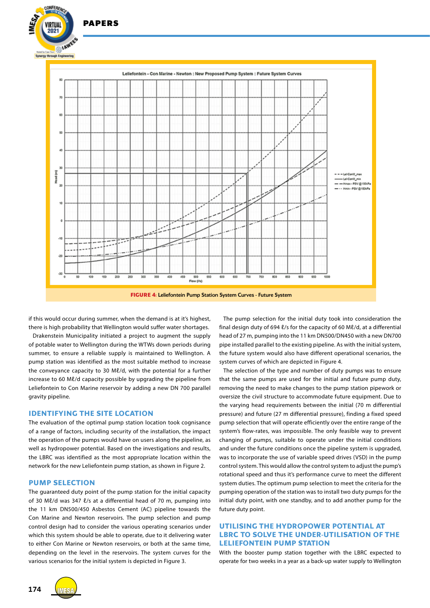

if this would occur during summer, when the demand is at it's highest, there is high probability that Wellington would suffer water shortages.

Drakenstein Municipality initiated a project to augment the supply of potable water to Wellington during the WTWs down periods during summer, to ensure a reliable supply is maintained to Wellington. A pump station was identified as the most suitable method to increase the convevance capacity to 30 Ml/d, with the potential for a further increase to 60 Mℓ/d capacity possible by upgrading the pipeline from Leliefontein to Con Marine reservoir by adding a new DN 700 parallel gravity pipeline.

#### **IDENTIFYING THE SITE LOCATION**

The evaluation of the optimal pump station location took cognisance of a range of factors, including security of the installation, the impact the operation of the pumps would have on users along the pipeline, as well as hydropower potential. Based on the investigations and results, the LBRC was identified as the most appropriate location within the network for the new Leliefontein pump station, as shown in Figure 2.

#### **PUMP SELECTION**

The guaranteed duty point of the pump station for the initial capacity of 30 Mℓ/d was 347 ℓ/s at a differential head of 70 m, pumping into the 11 km DN500/450 Asbestos Cement (AC) pipeline towards the Con Marine and Newton reservoirs. The pump selection and pump control design had to consider the various operating scenarios under which this system should be able to operate, due to it delivering water to either Con Marine or Newton reservoirs, or both at the same time, depending on the level in the reservoirs. The system curves for the various scenarios for the initial system is depicted in Figure 3.

The pump selection for the initial duty took into consideration the final design duty of 694  $\ell$ /s for the capacity of 60 M $\ell$ /d, at a differential head of 27 m, pumping into the 11 km DN500/DN450 with a new DN700 pipe installed parallel to the existing pipeline. As with the initial system, the future system would also have different operational scenarios, the system curves of which are depicted in Figure 4.

The selection of the type and number of duty pumps was to ensure that the same pumps are used for the initial and future pump duty, removing the need to make changes to the pump station pipework or oversize the civil structure to accommodate future equipment. Due to the varying head requirements between the initial (70 m differential pressure) and future (27 m differential pressure), finding a fixed speed pump selection that will operate efficiently over the entire range of the system's flow-rates, was impossible. The only feasible way to prevent changing of pumps, suitable to operate under the initial conditions and under the future conditions once the pipeline system is upgraded, was to incorporate the use of variable speed drives (VSD) in the pump control system. This would allow the control system to adjust the pump's rotational speed and thus it's performance curve to meet the different system duties. The optimum pump selection to meet the criteria for the pumping operation of the station was to install two duty pumps for the initial duty point, with one standby, and to add another pump for the future duty point.

# **UTILISING THE HYDROPOWER POTENTIAL AT LBRC TO SOLVE THE UNDER-UTILISATION OF THE LELIEFONTEIN PUMP STATION**

With the booster pump station together with the LBRC expected to operate for two weeks in a year as a back-up water supply to Wellington

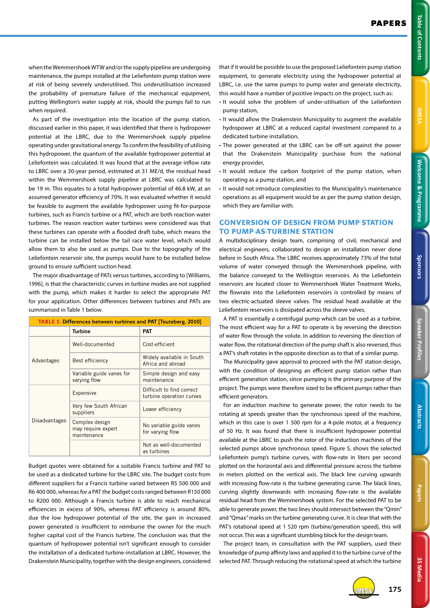3S Media **3S Media**

when the Wemmershoek WTW and/or the supply pipeline are undergoing maintenance, the pumps installed at the Leliefontein pump station were at risk of being severely underutilised. This underutilisation increased the probability of premature failure of the mechanical equipment, putting Wellington's water supply at risk, should the pumps fail to run when required.

As part of the investigation into the location of the pump station, discussed earlier in this paper, it was identified that there is hydropower potential at the LBRC, due to the Wemmershoek supply pipeline operating under gravitational energy. To confirm the feasibility of utilising this hydropower, the quantum of the available hydropower potential at Leliefontein was calculated. It was found that at the average inflow rate to LBRC over a 30-year period, estimated at 31 Mℓ/d, the residual head within the Wemmershoek supply pipeline at LBRC was calculated to be 19 m. This equates to a total hydropower potential of 46.8 kW, at an assumed generator efficiency of 70%. It was evaluated whether it would be feasible to augment the available hydropower using fit-for-purpose turbines, such as Francis turbine or a PAT, which are both reaction water turbines. The reason reaction water turbines were considered was that these turbines can operate with a flooded draft tube, which means the turbine can be installed below the tail race water level, which would allow them to also be used as pumps. Due to the topography of the Leliefontein reservoir site, the pumps would have to be installed below ground to ensure sufficient suction head.

The major disadvantage of PATs versus turbines, according to [Williams, 1996], is that the characteristic curves in turbine modes are not supplied with the pump, which makes it harder to select the appropriate PAT for your application. Other differences between turbines and PATs are summarised in Table 1 below.

| <b>TABLE 1: Differences between turbines and PAT [Teuteberg, 2010]</b> |                                                     |                                                       |
|------------------------------------------------------------------------|-----------------------------------------------------|-------------------------------------------------------|
|                                                                        | <b>Turbine</b>                                      | <b>PAT</b>                                            |
| Advantages                                                             | Well-documented                                     | Cost-efficient                                        |
|                                                                        | Best efficiency                                     | Widely available in South<br>Africa and abroad        |
|                                                                        | Variable guide vanes for<br>varying flow            | Simple design and easy<br>maintenance                 |
| <b>Disadvantages</b>                                                   | Expensive                                           | Difficult to find correct<br>turbine operation curves |
|                                                                        | Very few South African<br>suppliers                 | Lower efficiency                                      |
|                                                                        | Complex design<br>may require expert<br>maintenance | No variable guide vanes<br>for varying flow           |
|                                                                        |                                                     | Not as well-documented<br>as turbines                 |

Budget quotes were obtained for a suitable Francis turbine and PAT to be used as a dedicated turbine for the LBRC site. The budget costs from different suppliers for a Francis turbine varied between R5 500 000 and R6 400 000, whereas for a PAT the budget costs ranged between R150 000 to R200 000. Although a Francis turbine is able to reach mechanical efficiencies in excess of 90%, whereas PAT efficiency is around 80%, due the low hydropower potential of the site, the gain in increased power generated is insufficient to reimburse the owner for the much higher capital cost of the Francis turbine. The conclusion was that the quantum of hydropower potential isn't significant enough to consider the installation of a dedicated turbine-installation at LBRC. However, the Drakenstein Municipality, together with the design engineers, considered

that if it would be possible to use the proposed Leliefontein pump station equipment, to generate electricity using the hydropower potential at LBRC, i.e. use the same pumps to pump water and generate electricity, this would have a number of positive impacts on the project, such as:

- It would solve the problem of under-utilisation of the Leliefontein pump station,
- It would allow the Drakenstein Municipality to augment the available hydropower at LBRC at a reduced capital investment compared to a dedicated turbine installation,
- The power generated at the LBRC can be off-set against the power that the Drakenstein Municipality purchase from the national energy provider,
- It would reduce the carbon footprint of the pump station, when operating as a pump station, and
- It would not introduce complexities to the Municipality's maintenance operations as all equipment would be as per the pump station design, which they are familiar with.

# **CONVERSION OF DESIGN FROM PUMP STATION TO PUMP-AS-TURBINE STATION**

A multidisciplinary design team, comprising of civil, mechanical and electrical engineers, collaborated to design an installation never done before in South Africa. The LBRC receives approximately 73% of the total volume of water conveyed through the Wemmershoek pipeline, with the balance conveyed to the Wellington reservoirs. As the Leliefontein reservoirs are located closer to Wemmershoek Water Treatment Works, the flowrate into the Leliefontein reservoirs is controlled by means of two electric-actuated sleeve valves. The residual head available at the Leliefontein reservoirs is dissipated across the sleeve valves.

A PAT is essentially a centrifugal pump which can be used as a turbine. The most efficient way for a PAT to operate is by reversing the direction of water flow through the volute. In addition to reversing the direction of water flow, the rotational direction of the pump shaft is also reversed, thus a PAT's shaft rotates in the opposite direction as to that of a similar pump.

The Municipality gave approval to proceed with the PAT station design, with the condition of designing an efficient pump station rather than efficient generation station, since pumping is the primary purpose of the project. The pumps were therefore sized to be efficient pumps rather than efficient generators.

For an induction machine to generate power, the rotor needs to be rotating at speeds greater than the synchronous speed of the machine, which in this case is over 1 500 rpm for a 4-pole motor, at a frequency of 50 Hz. It was found that there is insufficient hydropower potential available at the LBRC to push the rotor of the induction machines of the selected pumps above synchronous speed. Figure 5, shows the selected Leliefontein pump's turbine curves, with flow-rate in liters per second plotted on the horizontal axis and differential pressure across the turbine in meters plotted on the vertical axis. The black line curving upwards with increasing flow-rate is the turbine generating curve. The black lines, curving slightly downwards with increasing flow-rate is the available residual head from the Wemmershoek system. For the selected PAT to be able to generate power, the two lines should intersect between the "Qmin" and "Qmax" marks on the turbine generating curve. It is clear that with the PAT's rotational speed at 1 520 rpm (turbine/generation speed), this will not occur. This was a significant stumbling block for the design team.

The project team, in consultation with the PAT suppliers, used their knowledge of pump affinity laws and applied it to the turbine curve of the selected PAT. Through reducing the rotational speed at which the turbine



IMESA **175**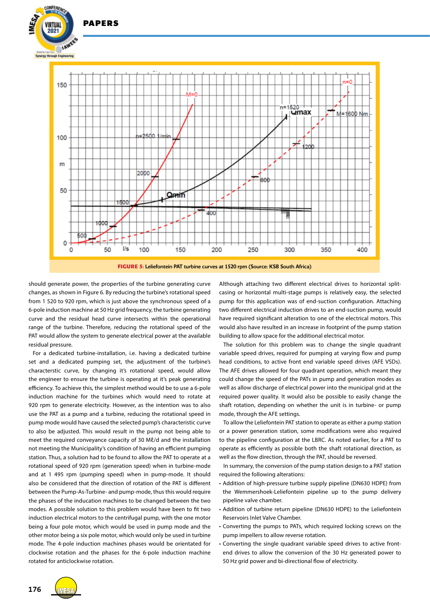

**FIGURE 5:** Leliefontein PAT turbine curves at 1520 rpm (Source: KSB South Africa)

should generate power, the properties of the turbine generating curve changes, as shown in Figure 6. By reducing the turbine's rotational speed from 1 520 to 920 rpm, which is just above the synchronous speed of a 6-pole induction machine at 50 Hz grid frequency, the turbine generating curve and the residual head curve intersects within the operational range of the turbine. Therefore, reducing the rotational speed of the PAT would allow the system to generate electrical power at the available residual pressure.

PAPERS

For a dedicated turbine-installation, i.e. having a dedicated turbine set and a dedicated pumping set, the adjustment of the turbine's characterstic curve, by changing it's rotational speed, would allow the engineer to ensure the turbine is operating at it's peak generating efficiency. To achieve this, the simplest method would be to use a 6-pole induction machine for the turbines which would need to rotate at 920 rpm to generate electricity. However, as the intention was to also use the PAT as a pump and a turbine, reducing the rotational speed in pump mode would have caused the selected pump's characteristic curve to also be adjusted. This would result in the pump not being able to meet the required conveyance capacity of 30 Mℓ/d and the installation not meeting the Municipality's condition of having an efficient pumping station. Thus, a solution had to be found to allow the PAT to operate at a rotational speed of 920 rpm (generation speed) when in turbine-mode and at 1 495 rpm (pumping speed) when in pump-mode. It should also be considered that the direction of rotation of the PAT is different between the Pump-As-Turbine- and pump-mode, thus this would require the phases of the inducation machines to be changed between the two modes. A possible solution to this problem would have been to fit two induction electrical motors to the centrifugal pump, with the one motor being a four pole motor, which would be used in pump mode and the other motor being a six pole motor, which would only be used in turbine mode. The 4-pole induction machines phases would be orientated for clockwise rotation and the phases for the 6-pole induction machine rotated for anticlockwise rotation.

Although attaching two different electrical drives to horizontal splitcasing or horizontal multi-stage pumps is relatively easy, the selected pump for this application was of end-suction configuration. Attaching two different electrical induction drives to an end-suction pump, would have required significant alteration to one of the electrical motors. This would also have resulted in an increase in footprint of the pump station building to allow space for the additional electrical motor.

The solution for this problem was to change the single quadrant variable speed drives, required for pumping at varying flow and pump head conditions, to active front end variable speed drives (AFE VSDs). The AFE drives allowed for four quadrant operation, which meant they could change the speed of the PATs in pump and generation modes as well as allow discharge of electrical power into the municipal grid at the required power quality. It would also be possible to easily change the shaft rotation, depending on whether the unit is in turbine- or pump mode, through the AFE settings.

To allow the Leliefontein PAT station to operate as either a pump station or a power generation station, some modifications were also required to the pipeline configuration at the LBRC. As noted earlier, for a PAT to operate as efficiently as possible both the shaft rotational direction, as well as the flow direction, through the PAT, should be reversed.

In summary, the conversion of the pump station design to a PAT station required the following alterations:

- Addition of high-pressure turbine supply pipeline (DN630 HDPE) from the Wemmershoek-Leliefontein pipeline up to the pump delivery pipeline valve chamber.
- Addition of turbine return pipeline (DN630 HDPE) to the Leliefontein Reservoirs Inlet Valve Chamber.
- Converting the pumps to PATs, which required locking screws on the pump impellers to allow reverse rotation.
- Converting the single quadrant variable speed drives to active frontend drives to allow the conversion of the 30 Hz generated power to 50 Hz grid power and bi-directional flow of electricity.

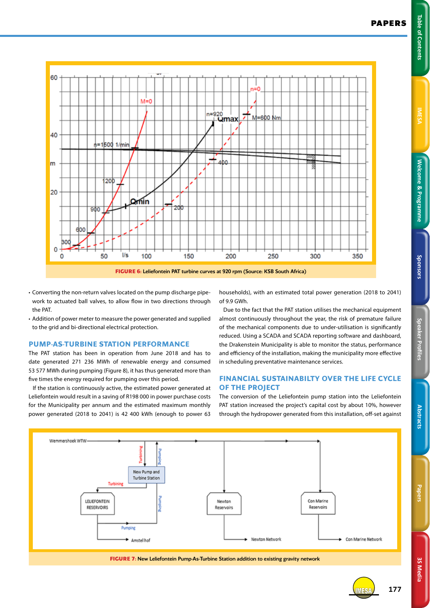**Table of Contents** 





- Converting the non-return valves located on the pump discharge pipework to actuated ball valves, to allow flow in two directions through the PAT.
- Addition of power meter to measure the power generated and supplied to the grid and bi-directional electrical protection.

#### **PUMP-AS-TURBINE STATION PERFORMANCE**

The PAT station has been in operation from June 2018 and has to date generated 271 236 MWh of renewable energy and consumed 53 577 MWh during pumping (Figure 8), it has thus generated more than five times the energy required for pumping over this period.

If the station is continuously active, the estimated power generated at Leliefontein would result in a saving of R198 000 in power purchase costs for the Municipality per annum and the estimated maximum monthly power generated (2018 to 2041) is 42 400 kWh (enough to power 63

households), with an estimated total power generation (2018 to 2041) of 9.9 GWh.

Due to the fact that the PAT station utilises the mechanical equipment almost continuously throughout the year, the risk of premature failure of the mechanical components due to under-utilisation is significantly reduced. Using a SCADA and SCADA reporting software and dashboard, the Drakenstein Municipality is able to monitor the status, performance and efficiency of the installation, making the municipality more effective in scheduling preventative maintenance services.

### **FINANCIAL SUSTAINABILTY OVER THE LIFE CYCLE OF THE PROJECT**

The conversion of the Leliefontein pump station into the Leliefontein PAT station increased the project's capital cost by about 10%, however through the hydropower generated from this installation, off-set against



**Abstract** 

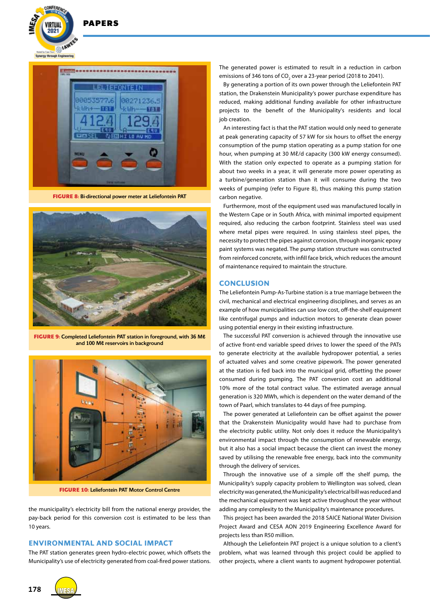



**FIGURE 8:** Bi-directional power meter at Leliefontein PAT



**FIGURE 9:** Completed Leliefontein PAT station in foreground, with 36 M**ℓ** and 100 M**ℓ** reservoirs in background



**FIGURE 10:** Leliefontein PAT Motor Control Centre

the municipality's electricity bill from the national energy provider, the pay-back period for this conversion cost is estimated to be less than 10 years.

# **ENVIRONMENTAL AND SOCIAL IMPACT**

The PAT station generates green hydro-electric power, which offsets the Municipality's use of electricity generated from coal-fired power stations.

The generated power is estimated to result in a reduction in carbon emissions of 346 tons of CO<sub>2</sub> over a 23-year period (2018 to 2041).

By generating a portion of its own power through the Leliefontein PAT station, the Drakenstein Municipality's power purchase expenditure has reduced, making additional funding available for other infrastructure projects to the benefit of the Municipality's residents and local job creation.

An interesting fact is that the PAT station would only need to generate at peak generating capacity of 57 kW for six hours to offset the energy consumption of the pump station operating as a pump station for one hour, when pumping at 30 Ml/d capacity (300 kW energy consumed). With the station only expected to operate as a pumping station for about two weeks in a year, it will generate more power operating as a turbine/generation station than it will consume during the two weeks of pumping (refer to Figure 8), thus making this pump station carbon negative.

Furthermore, most of the equipment used was manufactured locally in the Western Cape or in South Africa, with minimal imported equipment required, also reducing the carbon footprint. Stainless steel was used where metal pipes were required. In using stainless steel pipes, the necessity to protect the pipes against corrosion, through inorganic epoxy paint systems was negated. The pump station structure was constructed from reinforced concrete, with infill face brick, which reduces the amount of maintenance required to maintain the structure.

#### **CONCLUSION**

The Leliefontein Pump-As-Turbine station is a true marriage between the civil, mechanical and electrical engineering disciplines, and serves as an example of how municipalities can use low cost, off-the-shelf equipment like centrifugal pumps and induction motors to generate clean power using potential energy in their existing infrastructure.

The successful PAT conversion is achieved through the innovative use of active front-end variable speed drives to lower the speed of the PATs to generate electricity at the available hydropower potential, a series of actuated valves and some creative pipework. The power generated at the station is fed back into the municipal grid, offsetting the power consumed during pumping. The PAT conversion cost an additional 10% more of the total contract value. The estimated average annual generation is 320 MWh, which is dependent on the water demand of the town of Paarl, which translates to 44 days of free pumping.

The power generated at Leliefontein can be offset against the power that the Drakenstein Municipality would have had to purchase from the electricity public utility. Not only does it reduce the Municipality's environmental impact through the consumption of renewable energy, but it also has a social impact because the client can invest the money saved by utilising the renewable free energy, back into the community through the delivery of services.

Through the innovative use of a simple off the shelf pump, the Municipality's supply capacity problem to Wellington was solved, clean electricity was generated, the Municipality's electrical bill was reduced and the mechanical equipment was kept active throughout the year without adding any complexity to the Municipality's maintenance procedures.

This project has been awarded the 2018 SAICE National Water Division Project Award and CESA AON 2019 Engineering Excellence Award for projects less than R50 million.

Although the Leliefontein PAT project is a unique solution to a client's problem, what was learned through this project could be applied to other projects, where a client wants to augment hydropower potential.